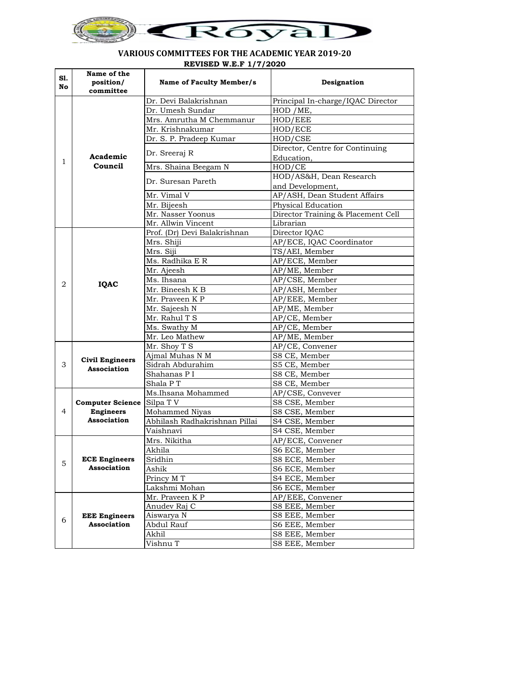

## **VARIOUS COMMITTEES FOR THE ACADEMIC YEAR 2019-20 REVISED W.E.F 1/7/2020**

| S1.<br>No | Name of the<br>position/<br>committee                      | Name of Faculty Member/s      | Designation                                   |
|-----------|------------------------------------------------------------|-------------------------------|-----------------------------------------------|
|           |                                                            | Dr. Devi Balakrishnan         | Principal In-charge/IQAC Director             |
|           | Academic<br>Council                                        | Dr. Umesh Sundar              | HOD /ME,                                      |
|           |                                                            | Mrs. Amrutha M Chemmanur      | HOD/EEE                                       |
|           |                                                            | Mr. Krishnakumar              | HOD/ECE                                       |
|           |                                                            | Dr. S. P. Pradeep Kumar       | HOD/CSE                                       |
|           |                                                            | Dr. Sreeraj R                 | Director, Centre for Continuing<br>Education. |
| 1         |                                                            | Mrs. Shaina Beegam N          | HOD/CE                                        |
|           |                                                            | Dr. Suresan Pareth            | HOD/AS&H, Dean Research                       |
|           |                                                            |                               | and Development,                              |
|           |                                                            | Mr. Vimal V                   | AP/ASH, Dean Student Affairs                  |
|           |                                                            | Mr. Bijeesh                   | Physical Education                            |
|           |                                                            | Mr. Nasser Yoonus             | Director Training & Placement Cell            |
|           |                                                            | Mr. Allwin Vincent            | Librarian                                     |
|           |                                                            | Prof. (Dr) Devi Balakrishnan  | Director IQAC                                 |
|           |                                                            | Mrs. Shiji                    | AP/ECE, IQAC Coordinator                      |
|           |                                                            | Mrs. Siji                     | TS/AEI, Member                                |
|           |                                                            | Ms. Radhika E R               | AP/ECE, Member                                |
|           |                                                            | Mr. Ajeesh                    | AP/ME, Member                                 |
| 2         |                                                            | Ms. Ihsana                    | AP/CSE, Member                                |
|           | <b>IQAC</b>                                                | Mr. Bineesh K B               | AP/ASH, Member                                |
|           |                                                            | Mr. Praveen K P               | AP/EEE, Member                                |
|           |                                                            | Mr. Sajeesh N                 | AP/ME, Member                                 |
|           |                                                            | Mr. Rahul T S                 | AP/CE, Member                                 |
|           |                                                            | Ms. Swathy M                  | AP/CE, Member                                 |
|           |                                                            | Mr. Leo Mathew                | AP/ME, Member                                 |
|           |                                                            | Mr. Shoy T S                  | AP/CE, Convener                               |
|           |                                                            | Ajmal Muhas N M               | S8 CE, Member                                 |
| 3         | <b>Civil Engineers</b><br>Association                      | Sidrah Abdurahim              | S5 CE, Member                                 |
|           |                                                            | Shahanas PI                   | S8 CE, Member                                 |
|           |                                                            | Shala PT                      | S8 CE, Member                                 |
|           | <b>Computer Science</b><br><b>Engineers</b><br>Association | Ms.Ihsana Mohammed            | AP/CSE, Convever                              |
|           |                                                            | Silpa TV                      | S8 CSE, Member                                |
| 4         |                                                            | Mohammed Niyas                | S8 CSE, Member                                |
|           |                                                            | Abhilash Radhakrishnan Pillai | S4 CSE, Member                                |
|           |                                                            | Vaishnavi                     | S4 CSE, Member                                |
|           |                                                            | Mrs. Nikitha                  | AP/ECE, Convener                              |
|           |                                                            | Akhila                        | S6 ECE. Member                                |
| 5         | <b>ECE Engineers</b>                                       | Sridhin                       | S8 ECE, Member                                |
|           | Association                                                | Ashik                         | S6 ECE, Member                                |
|           |                                                            | Princy M T                    | S4 ECE, Member                                |
|           |                                                            | Lakshmi Mohan                 | S6 ECE, Member                                |
|           |                                                            | Mr. Praveen K P               | AP/EEE, Convener                              |
|           |                                                            | Anudev Raj C                  | S8 EEE, Member                                |
|           | <b>EEE</b> Engineers<br><b>Association</b>                 | Aiswarya N                    | S8 EEE, Member                                |
| 6         |                                                            | Abdul Rauf                    | S6 EEE, Member                                |
|           |                                                            | Akhil                         | S8 EEE, Member                                |
|           |                                                            | Vishnu T                      | S8 EEE, Member                                |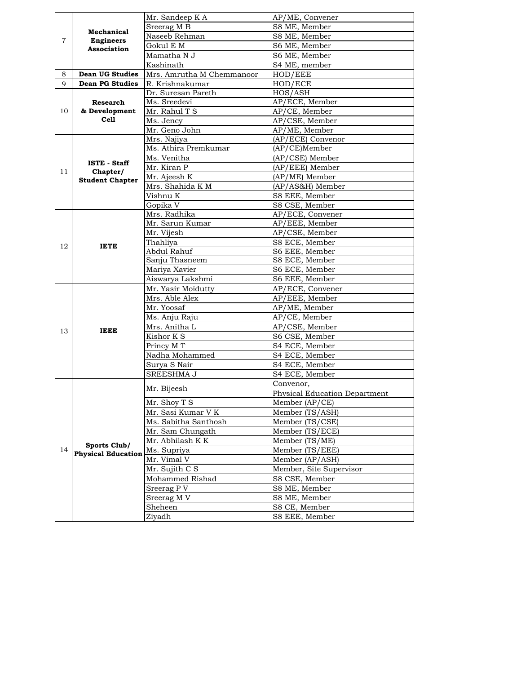|    | Mechanical                                | Mr. Sandeep K A           | AP/ME, Convener                      |
|----|-------------------------------------------|---------------------------|--------------------------------------|
|    |                                           | Sreerag M B               | S8 ME, Member                        |
|    |                                           | Naseeb Rehman             | S8 ME, Member                        |
| 7  | <b>Engineers</b>                          | Gokul E M                 | S6 ME, Member                        |
|    | <b>Association</b>                        | Mamatha N J               | S6 ME, Member                        |
|    |                                           | Kashinath                 | S4 ME, member                        |
| 8  | <b>Dean UG Studies</b>                    | Mrs. Amrutha M Chemmanoor | HOD/EEE                              |
| 9  | <b>Dean PG Studies</b>                    | R. Krishnakumar           | HOD/ECE                              |
|    |                                           | Dr. Suresan Pareth        | HOS/ASH                              |
|    | Research                                  | Ms. Sreedevi              | AP/ECE, Member                       |
| 10 | & Development                             | Mr. Rahul T S             | AP/CE, Member                        |
|    | Ce <sub>11</sub>                          | Ms. Jency                 | AP/CSE, Member                       |
|    |                                           | Mr. Geno John             | AP/ME, Member                        |
|    |                                           | Mrs. Najiya               | (AP/ECE) Convenor                    |
|    |                                           | Ms. Athira Premkumar      | (AP/CE)Member                        |
|    |                                           | Ms. Venitha               | (AP/CSE) Member                      |
|    | <b>ISTE - Staff</b>                       | Mr. Kiran P               | (AP/EEE) Member                      |
| 11 | Chapter/<br><b>Student Chapter</b>        | Mr. Ajeesh K              | (AP/ME) Member                       |
|    |                                           | Mrs. Shahida K M          | (AP/AS&H) Member                     |
|    |                                           | Vishnu K                  | S8 EEE, Member                       |
|    |                                           | Gopika V                  | S8 CSE, Member                       |
|    |                                           | Mrs. Radhika              | AP/ECE, Convener                     |
|    |                                           | Mr. Sarun Kumar           | AP/EEE, Member                       |
|    |                                           | Mr. Vijesh                | AP/CSE, Member                       |
| 12 | <b>IETE</b>                               | Thahliya                  | S8 ECE, Member                       |
|    |                                           | Abdul Rahuf               | S6 EEE, Member                       |
|    |                                           | Sanju Thasneem            | S8 ECE, Member                       |
|    |                                           | Mariya Xavier             | S6 ECE, Member                       |
|    |                                           | Aiswarya Lakshmi          | S6 EEE, Member                       |
|    | <b>IEEE</b>                               | Mr. Yasir Moidutty        | AP/ECE, Convener                     |
|    |                                           | Mrs. Able Alex            | AP/EEE, Member                       |
|    |                                           | Mr. Yoosaf                | AP/ME, Member                        |
|    |                                           | Ms. Anju Raju             | AP/CE, Member                        |
| 13 |                                           | Mrs. Anitha L             | AP/CSE, Member                       |
|    |                                           | Kishor K S                | S6 CSE, Member                       |
|    |                                           | Princy M T                | S4 ECE, Member                       |
|    |                                           | Nadha Mohammed            | S4 ECE, Member                       |
|    |                                           | Surya S Nair              | S4 ECE, Member                       |
|    |                                           | SREESHMA J                | S4 ECE, Member                       |
|    |                                           | Mr. Bijeesh               | Convenor,                            |
|    |                                           |                           | <b>Physical Education Department</b> |
|    |                                           | Mr. Shoy T S              | Member (AP/CE)                       |
|    |                                           | Mr. Sasi Kumar V K        | Member (TS/ASH)                      |
|    |                                           | Ms. Sabitha Santhosh      | Member (TS/CSE)                      |
|    |                                           | Mr. Sam Chungath          | Member (TS/ECE)                      |
|    |                                           | Mr. Abhilash K K          | Member (TS/ME)                       |
| 14 | Sports Club/<br><b>Physical Education</b> | Ms. Supriya               | Member (TS/EEE)                      |
|    |                                           | Mr. Vimal V               | Member (AP/ASH)                      |
|    |                                           | Mr. Sujith C S            | Member, Site Supervisor              |
|    |                                           | Mohammed Rishad           | S8 CSE, Member                       |
|    |                                           | Sreerag P V               | S8 ME, Member                        |
|    |                                           | Sreerag M V               | S8 ME, Member                        |
|    |                                           | Sheheen                   | S8 CE, Member                        |
|    |                                           | Ziyadh                    | S8 EEE, Member                       |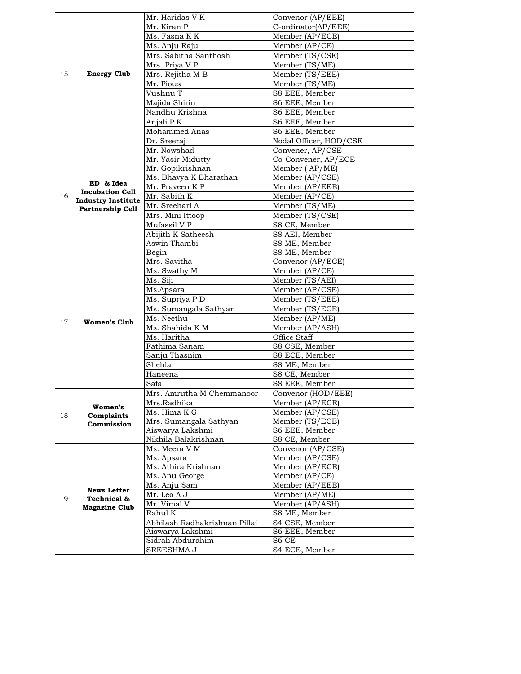|    |                           | Mr. Haridas V K               | Convenor (AP/EEE)                   |
|----|---------------------------|-------------------------------|-------------------------------------|
|    |                           | Mr. Kiran P                   | C-ordinator(AP/EEE)                 |
|    |                           | Ms. Fasna K K                 | Member (AP/ECE)                     |
|    |                           | Ms. Anju Raju                 | Member (AP/CE)                      |
|    |                           | Mrs. Sabitha Santhosh         | Member (TS/CSE)                     |
|    |                           | Mrs. Priya V P                | Member (TS/ME)                      |
| 15 | <b>Energy Club</b>        | Mrs. Rejitha M B              | Member (TS/EEE)                     |
|    |                           | Mr. Pious                     | Member (TS/ME)                      |
|    |                           | Vushnu T                      | S8 EEE, Member                      |
|    |                           | Majida Shirin                 | S6 EEE, Member                      |
|    |                           | Nandhu Krishna                | S6 EEE, Member                      |
|    |                           | Anjali PK                     | S6 EEE, Member                      |
|    |                           | Mohammed Anas                 | S6 EEE, Member                      |
|    |                           | Dr. Sreeraj                   | Nodal Officer, HOD/CSE              |
|    |                           | Mr. Nowshad                   | Convener, AP/CSE                    |
|    |                           | Mr. Yasir Midutty             | Co-Convener, AP/ECE                 |
|    |                           | Mr. Gopikrishnan              | Member (AP/ME)                      |
|    |                           | Ms. Bhavya K Bharathan        | $M$ ember (AP/CSE)                  |
|    | ED & Idea                 | Mr. Praveen K P               | Member (AP/EEE)                     |
| 16 | <b>Incubation Cell</b>    | Mr. Sabith K                  | Member (AP/CE)                      |
|    | <b>Industry Institute</b> | Mr. Sreehari A                | Member (TS/ME)                      |
|    | Partnership Cell          | Mrs. Mini Ittoop              | Member (TS/CSE)                     |
|    |                           | Mufassil V P                  | S8 CE, Member                       |
|    |                           | Abijith K Satheesh            | S8 AEI, Member                      |
|    |                           | Aswin Thambi                  | S8 ME, Member                       |
|    |                           | Begin                         | S8 ME, Member                       |
|    |                           | Mrs. Savitha                  | Convenor (AP/ECE)                   |
|    |                           | Ms. Swathy M                  | Member (AP/CE)                      |
|    |                           | Ms. Siji                      | Member (TS/AEI)                     |
|    |                           | Ms.Apsara                     | Member (AP/CSE)                     |
|    |                           | Ms. Supriya P D               | Member (TS/EEE)                     |
|    |                           | Ms. Sumangala Sathyan         | Member (TS/ECE)                     |
|    |                           | Ms. Neethu                    | Member (AP/ME)                      |
| 17 | Women's Club              | Ms. Shahida K M               | Member (AP/ASH)                     |
|    |                           | Ms. Haritha                   | Office Staff                        |
|    |                           | Fathima Sanam                 | S8 CSE, Member                      |
|    |                           | Sanju Thasnim                 | S8 ECE, Member                      |
|    |                           | Shehla                        | S8 ME, Member                       |
|    |                           | Haneena                       | S8 CE, Member                       |
|    |                           | Safa                          | S8 EEE, Member                      |
|    |                           | Mrs. Amrutha M Chemmanoor     | Convenor (HOD/EEE)                  |
|    | Women's                   | Mrs.Radhika                   | Member (AP/ECE)                     |
| 18 | Complaints                | Ms. Hima K G                  | Member (AP/CSE)                     |
|    | Commission                | Mrs. Sumangala Sathyan        | $\overline{\text{Member}}$ (TS/ECE) |
|    |                           | Aiswarya Lakshmi              | S6 EEE, Member                      |
|    |                           | Nikhila Balakrishnan          | S8 CE, Member                       |
|    |                           | Ms. Meera V M                 | Convenor (AP/CSE)                   |
|    |                           | Ms. Apsara                    | Member (AP/CSE)                     |
|    |                           | Ms. Athira Krishnan           | $\overline{\text{Member}}$ (AP/ECE) |
|    |                           | Ms. Anu George                | Member (AP/CE)                      |
|    | <b>News Letter</b>        | Ms. Anju Sam                  | Member (AP/EEE)                     |
| 19 | Technical &               | Mr. Leo A J                   | Member (AP/ME)                      |
|    | <b>Magazine Club</b>      | Mr. Vimal V                   | Member (AP/ASH)                     |
|    |                           | Rahul K                       | S8 ME, Member                       |
|    |                           | Abhilash Radhakrishnan Pillai | S4 CSE, Member                      |
|    |                           | Aiswarya Lakshmi              | S6 EEE, Member                      |
|    |                           | Sidrah Abdurahim              | S6 CE                               |
|    |                           | SREESHMA J                    | S4 ECE, Member                      |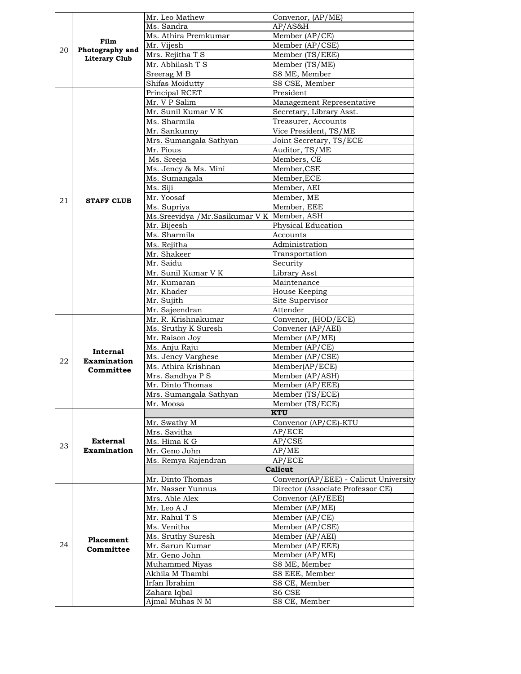|    |                         | Mr. Leo Mathew                                | Convenor, (AP/ME)                                       |
|----|-------------------------|-----------------------------------------------|---------------------------------------------------------|
|    |                         | Ms. Sandra                                    | AP/AS&H                                                 |
|    |                         | Ms. Athira Premkumar                          | Member (AP/CE)                                          |
| 20 | Film<br>Photography and | Mr. Vijesh                                    | Member (AP/CSE)                                         |
|    | <b>Literary Club</b>    | Mrs. Rejitha T S                              | Member (TS/EEE)                                         |
|    |                         | Mr. Abhilash T S                              | Member (TS/ME)                                          |
|    |                         | Sreerag M B                                   | S8 ME, Member                                           |
|    |                         | Shifas Moidutty                               | S8 CSE, Member                                          |
|    |                         | Principal RCET                                | President                                               |
|    |                         | Mr. V P Salim                                 | Management Representative                               |
|    |                         | Mr. Sunil Kumar V K                           | Secretary, Library Asst.                                |
|    |                         | Ms. Sharmila                                  | Treasurer, Accounts                                     |
|    |                         | Mr. Sankunny                                  | Vice President, TS/ME                                   |
|    |                         |                                               | Joint Secretary, TS/ECE                                 |
|    |                         | Mrs. Sumangala Sathyan<br>Mr. Pious           |                                                         |
|    |                         |                                               | Auditor, TS/ME                                          |
|    |                         | Ms. Sreeja                                    | Members, CE                                             |
|    |                         | Ms. Jency & Ms. Mini                          | Member, CSE                                             |
|    |                         | Ms. Sumangala                                 | Member, ECE                                             |
|    |                         | Ms. Siji                                      | Member, AEI                                             |
| 21 | <b>STAFF CLUB</b>       | Mr. Yoosaf                                    | Member, ME                                              |
|    |                         | Ms. Supriya                                   | Member, EEE                                             |
|    |                         | Ms.Sreevidya / Mr.Sasikumar V K   Member, ASH |                                                         |
|    |                         | Mr. Bijeesh                                   | Physical Education                                      |
|    |                         | Ms. Sharmila                                  | Accounts                                                |
|    |                         | Ms. Rejitha                                   | Administration                                          |
|    |                         | Mr. Shakeer                                   | Transportation                                          |
|    |                         | Mr. Saidu                                     | Security                                                |
|    |                         | Mr. Sunil Kumar V K                           | Library Asst                                            |
|    |                         | Mr. Kumaran                                   | Maintenance                                             |
|    |                         | Mr. Khader                                    | House Keeping                                           |
|    |                         | Mr. Sujith                                    | Site Supervisor                                         |
|    |                         | Mr. Sajeendran                                | Attender                                                |
|    |                         | Mr. R. Krishnakumar                           | Convenor, (HOD/ECE)                                     |
|    |                         | Ms. Sruthy K Suresh                           | Convener (AP/AEI)                                       |
|    |                         | Mr. Raison Joy                                | Member (AP/ME)                                          |
|    |                         | Ms. Anju Raju                                 | Member (AP/CE)                                          |
|    | Internal                | Ms. Jency Varghese                            | Member (AP/CSE)                                         |
| 22 | <b>Examination</b>      | Ms. Athira Krishnan                           | Member(AP/ECE)                                          |
|    | Committee               | Mrs. Sandhya P S                              | Member (AP/ASH)                                         |
|    |                         |                                               |                                                         |
|    |                         |                                               |                                                         |
|    |                         | Mr. Dinto Thomas                              | Member (AP/EEE)                                         |
|    |                         | Mrs. Sumangala Sathvan                        | Member (TS/ECE)                                         |
|    |                         | Mr. Moosa                                     | Member (TS/ECE)<br>KTU                                  |
|    |                         |                                               |                                                         |
|    |                         | Mr. Swathy M                                  | Convenor (AP/CE)-KTU                                    |
|    |                         | Mrs. Savitha                                  | AP/ECE                                                  |
| 23 | External                | Ms. Hima K G                                  | AP/CSE                                                  |
|    | <b>Examination</b>      | Mr. Geno John                                 | AP/ME                                                   |
|    |                         | Ms. Remya Rajendran                           | AP/ECE                                                  |
|    |                         |                                               | Calicut                                                 |
|    |                         | Mr. Dinto Thomas                              |                                                         |
|    |                         | Mr. Nasser Yunnus                             | Director (Associate Professor CE)                       |
|    |                         | Mrs. Able Alex                                | Convenor (AP/EEE)                                       |
|    |                         | Mr. Leo A J                                   | Member (AP/ME)                                          |
|    |                         | Mr. Rahul T S                                 | Member $AP/CE$                                          |
|    |                         | Ms. Venitha                                   | Member (AP/CSE)                                         |
|    | <b>Placement</b>        | Ms. Sruthy Suresh                             | Member (AP/AEI)                                         |
| 24 | Committee               | Mr. Sarun Kumar                               | Member (AP/EEE)                                         |
|    |                         | Mr. Geno John                                 | Member (AP/ME)                                          |
|    |                         | Muhammed Niyas                                | S8 ME, Member                                           |
|    |                         | Akhila M Thambi                               | Convenor(AP/EEE) - Calicut University<br>S8 EEE, Member |
|    |                         | Irfan Ibrahim                                 | S8 CE, Member                                           |
|    |                         | Zahara Iqbal<br>Ajmal Muhas N M               | S6 CSE<br>S8 CE, Member                                 |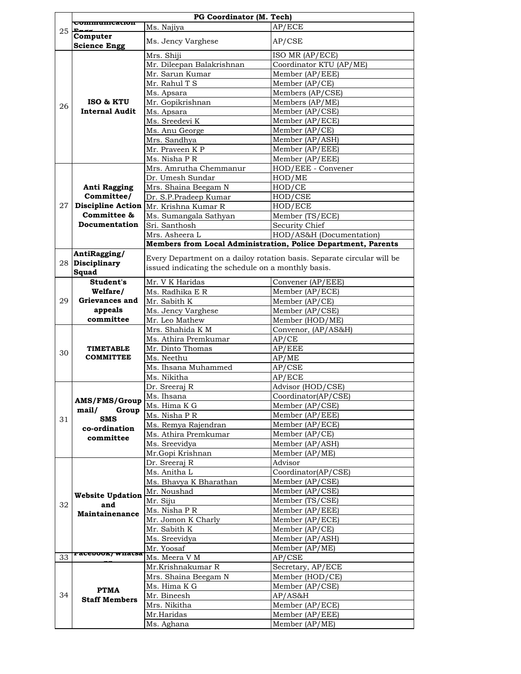|    |                                               | PG Coordinator (M. Tech)                           |                                                                        |
|----|-----------------------------------------------|----------------------------------------------------|------------------------------------------------------------------------|
| 25 | <b>Communication</b>                          | Ms. Najiya                                         | AP/ECE                                                                 |
|    | Computer                                      | Ms. Jency Varghese                                 | AP/CSE                                                                 |
|    | <b>Science Engg</b>                           |                                                    |                                                                        |
|    |                                               | Mrs. Shiji                                         | ISO MR (AP/ECE)                                                        |
|    |                                               | Mr. Dileepan Balakrishnan                          | Coordinator KTU (AP/ME)                                                |
|    |                                               | Mr. Sarun Kumar                                    | Member (AP/EEE)                                                        |
|    |                                               | Mr. Rahul T S                                      | Member (AP/CE)                                                         |
|    |                                               | Ms. Apsara                                         | Members (AP/CSE)                                                       |
| 26 | ISO & KTU                                     | Mr. Gopikrishnan                                   | Members (AP/ME)                                                        |
|    | <b>Internal Audit</b>                         | Ms. Apsara                                         | Member (AP/CSE)                                                        |
|    |                                               | Ms. Sreedevi K                                     | Member (AP/ECE)                                                        |
|    |                                               | Ms. Anu George                                     | Member (AP/CE)                                                         |
|    |                                               | Mrs. Sandhya                                       | Member (AP/ASH)                                                        |
|    |                                               | Mr. Praveen K P                                    | Member (AP/EEE)                                                        |
|    |                                               | Ms. Nisha P R                                      | Member (AP/EEE)                                                        |
|    |                                               | Mrs. Amrutha Chemmanur                             | HOD/EEE - Convener                                                     |
|    |                                               | Dr. Umesh Sundar                                   | HOD/ME                                                                 |
|    | <b>Anti Ragging</b>                           | Mrs. Shaina Beegam N                               | HOD/CE                                                                 |
|    | Committee/                                    | Dr. S.P.Pradeep Kumar                              | HOD/CSE                                                                |
| 27 |                                               | <b>Discipline Action</b> Mr. Krishna Kumar R       | HOD/ECE                                                                |
|    | Committee &                                   | Ms. Sumangala Sathyan                              | Member (TS/ECE)                                                        |
|    | Documentation                                 | Sri. Santhosh                                      | Security Chief                                                         |
|    |                                               | Mrs. Asheera L                                     | HOD/AS&H (Documentation)                                               |
|    |                                               |                                                    | Members from Local Administration, Police Department, Parents          |
|    | AntiRagging/                                  |                                                    | Every Department on a dailoy rotation basis. Separate circular will be |
|    | 28 Disciplinary                               | issued indicating the schedule on a monthly basis. |                                                                        |
|    | Squad                                         |                                                    |                                                                        |
|    | Student's                                     | Mr. V K Haridas                                    | Convener (AP/EEE)                                                      |
|    | Welfare/                                      | Ms. Radhika E R                                    | Member (AP/ECE)                                                        |
| 29 | Grievances and                                | Mr. Sabith K                                       | Member (AP/CE)                                                         |
|    | appeals<br>committee                          | Ms. Jency Varghese                                 | Member (AP/CSE)                                                        |
|    |                                               | Mr. Leo Mathew                                     | Member (HOD/ME)                                                        |
|    |                                               | Mrs. Shahida K M                                   | Convenor, (AP/AS&H)                                                    |
|    |                                               | Ms. Athira Premkumar                               | AP/CE                                                                  |
| 30 | <b>TIMETABLE</b><br><b>COMMITTEE</b>          | Mr. Dinto Thomas<br>Ms. Neethu                     | AP/EEE                                                                 |
|    |                                               | Ms. Ihsana Muhammed                                | AP/ME<br>AP/CSE                                                        |
|    |                                               | Ms. Nikitha                                        | AP/ECE                                                                 |
|    |                                               | Dr. Sreeraj R                                      | Advisor (HOD/CSE)                                                      |
|    |                                               | Ms. Ihsana                                         | Coordinator(AP/CSE)                                                    |
|    | AMS/FMS/Group<br>Group<br>mail/<br><b>SMS</b> | Ms. Hima K G                                       | Member (AP/CSE)                                                        |
|    |                                               | Ms. Nisha P R                                      | Member (AP/EEE)                                                        |
| 31 |                                               | Ms. Remya Rajendran                                | Member (AP/ECE)                                                        |
|    | co-ordination                                 | Ms. Athira Premkumar                               | Member (AP/CE)                                                         |
|    | committee                                     | Ms. Sreevidya                                      | Member (AP/ASH)                                                        |
|    |                                               | Mr.Gopi Krishnan                                   | Member (AP/ME)                                                         |
|    |                                               | Dr. Sreeraj R                                      | Advisor                                                                |
|    |                                               | Ms. Anitha L                                       | Coordinator(AP/CSE)                                                    |
|    |                                               | Ms. Bhavya K Bharathan                             | Member (AP/CSE)                                                        |
|    |                                               | Mr. Noushad                                        | Member (AP/CSE)                                                        |
|    | <b>Website Updation</b>                       | Mr. Siju                                           | Member (TS/CSE)                                                        |
| 32 | and                                           | Ms. Nisha P R                                      | Member (AP/EEE)                                                        |
|    | <b>Maintainenance</b>                         | Mr. Jomon K Charly                                 | Member (AP/ECE)                                                        |
|    |                                               | Mr. Sabith K                                       | Member $AP/CE$                                                         |
|    |                                               | Ms. Sreevidya                                      | Member (AP/ASH)                                                        |
|    |                                               | Mr. Yoosaf                                         | Member (AP/ME)                                                         |
| 33 | <b>Facebook/Whatsa</b>                        | Ms. Meera V M                                      | AP/CSE                                                                 |
|    |                                               | Mr.Krishnakumar R                                  | Secretary, AP/ECE                                                      |
|    |                                               | Mrs. Shaina Beegam N                               | Member (HOD/CE)                                                        |
|    |                                               | Ms. Hima K G                                       | Member (AP/CSE)                                                        |
| 34 | <b>PTMA</b>                                   | Mr. Bineesh                                        | AP/AS&H                                                                |
|    | <b>Staff Members</b>                          | Mrs. Nikitha                                       | Member (AP/ECE)                                                        |
|    |                                               | Mr.Haridas                                         | Member (AP/EEE)                                                        |
|    |                                               | Ms. Aghana                                         | Member (AP/ME)                                                         |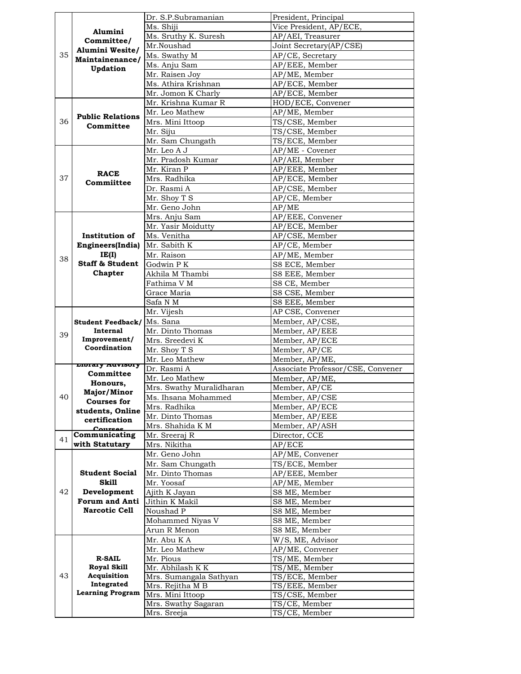|    |                            | Dr. S.P.Subramanian      | President, Principal               |
|----|----------------------------|--------------------------|------------------------------------|
|    |                            | Ms. Shiji                | Vice President, AP/ECE,            |
|    | Alumini                    | Ms. Sruthy K. Suresh     | AP/AEI, Treasurer                  |
|    | Committee/                 | Mr.Noushad               | Joint Secretary(AP/CSE)            |
| 35 | Alumini Wesite/            | Ms. Swathy M             | AP/CE, Secretary                   |
|    | Maintainenance/            | Ms. Anju Sam             | AP/EEE, Member                     |
|    | <b>Updation</b>            | Mr. Raisen Joy           | AP/ME, Member                      |
|    |                            | Ms. Athira Krishnan      | AP/ECE, Member                     |
|    |                            | Mr. Jomon K Charly       | AP/ECE, Member                     |
|    |                            | Mr. Krishna Kumar R      |                                    |
|    |                            | Mr. Leo Mathew           | HOD/ECE, Convener<br>AP/ME, Member |
|    | <b>Public Relations</b>    |                          |                                    |
| 36 | Committee                  | Mrs. Mini Ittoop         | TS/CSE, Member                     |
|    |                            | Mr. Siju                 | TS/CSE, Member                     |
|    |                            | Mr. Sam Chungath         | TS/ECE, Member                     |
|    |                            | Mr. Leo A J              | AP/ME - Covener                    |
|    |                            | Mr. Pradosh Kumar        | AP/AEI, Member                     |
|    | <b>RACE</b>                | Mr. Kiran P              | AP/EEE, Member                     |
| 37 | Commiittee                 | Mrs. Radhika             | AP/ECE, Member                     |
|    |                            | Dr. Rasmi A              | AP/CSE, Member                     |
|    |                            | Mr. Shoy T S             | AP/CE, Member                      |
|    |                            | Mr. Geno John            | AP/ME                              |
|    |                            | Mrs. Anju Sam            | AP/EEE, Convener                   |
|    |                            | Mr. Yasir Moidutty       | AP/ECE, Member                     |
|    | Institution of             | Ms. Venitha              | AP/CSE, Member                     |
|    | Engineers(India)           | Mr. Sabith K             | AP/CE, Member                      |
|    | IE(I)                      | Mr. Raison               | AP/ME, Member                      |
| 38 | <b>Staff &amp; Student</b> |                          |                                    |
|    |                            | Godwin P K               | S8 ECE, Member                     |
|    | Chapter                    | Akhila M Thambi          | S8 EEE, Member                     |
|    |                            | Fathima V M              | S8 CE, Member                      |
|    |                            | Grace Maria              | S8 CSE, Member                     |
|    |                            | Safa N M                 | S8 EEE, Member                     |
|    |                            | Mr. Vijesh               | AP CSE, Convener                   |
|    | <b>Student Feedback/</b>   | Ms. Sana                 | Member, AP/CSE,                    |
| 39 | Internal                   | Mr. Dinto Thomas         | Member, AP/EEE                     |
|    | Improvement/               | Mrs. Sreedevi K          | Member, AP/ECE                     |
|    | Coordination               | Mr. Shoy T S             | Member, AP/CE                      |
|    |                            | Mr. Leo Mathew           | Member, AP/ME,                     |
|    | LIDTATY AUVISOTY           | Dr. Rasmi A              | Associate Professor/CSE, Convener  |
|    | Committee                  | Mr. Leo Mathew           | Member, AP/ME,                     |
|    | Honours.                   | Mrs. Swathy Muralidharan | Member, AP/CE                      |
| 40 | Major/Minor                | Ms. Ihsana Mohammed      | Member, AP/CSE                     |
|    | <b>Courses for</b>         | Mrs. Radhika             | Member, AP/ECE                     |
|    | students, Online           | Mr. Dinto Thomas         | Member, AP/EEE                     |
|    | certification              | Mrs. Shahida K M         | Member, AP/ASH                     |
|    | Concrease<br>Communicating | Mr. Sreeraj R            | Director, CCE                      |
| 41 | with Statutary             | Mrs. Nikitha             | AP/ECE                             |
|    |                            | Mr. Geno John            |                                    |
|    |                            |                          | AP/ME, Convener                    |
|    |                            | Mr. Sam Chungath         | TS/ECE, Member                     |
|    | <b>Student Social</b>      | Mr. Dinto Thomas         | AP/EEE, Member                     |
|    | <b>Skill</b>               | Mr. Yoosaf               | AP/ME, Member                      |
| 42 | Development                | Ajith K Javan            | S8 ME, Member                      |
|    | <b>Forum and Anti</b>      | Jithin K Makil           | S8 ME, Member                      |
|    | <b>Narcotic Cell</b>       | Noushad P                | S8 ME, Member                      |
|    |                            | Mohammed Niyas V         | S8 ME, Member                      |
|    |                            | Arun R Menon             | S8 ME, Member                      |
|    |                            | Mr. Abu K A              | W/S, ME, Advisor                   |
|    |                            | Mr. Leo Mathew           | AP/ME, Convener                    |
|    | <b>R-SAIL</b>              | Mr. Pious                | TS/ME, Member                      |
|    | <b>Royal Skill</b>         | Mr. Abhilash K K         | TS/ME, Member                      |
| 43 | Acquisition                | Mrs. Sumangala Sathyan   | TS/ECE, Member                     |
|    | Integrated                 | Mrs. Rejitha M B         | TS/EEE, Member                     |
|    | <b>Learning Program</b>    | Mrs. Mini Ittoop         | TS/CSE, Member                     |
|    |                            | Mrs. Swathy Sagaran      | TS/CE, Member                      |
|    |                            | Mrs. Sreeja              | TS/CE, Member                      |
|    |                            |                          |                                    |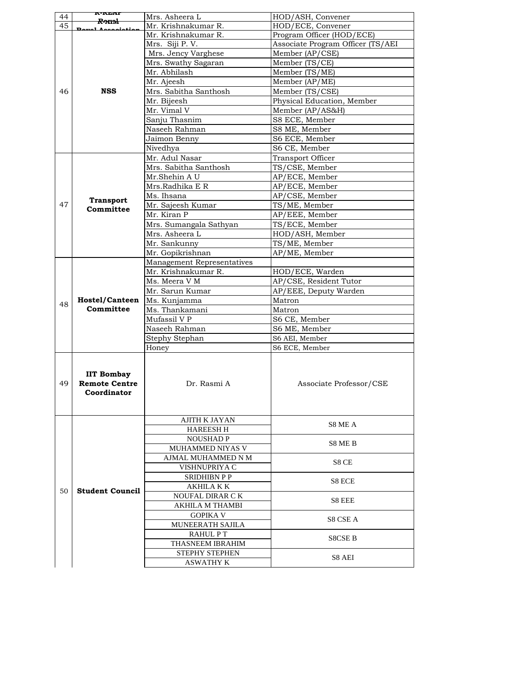|    | r-Real                                                   |                            |                                   |
|----|----------------------------------------------------------|----------------------------|-----------------------------------|
| 44 | <del>R-xıml</del>                                        | Mrs. Asheera L             | HOD/ASH, Convener                 |
| 45 |                                                          | Mr. Krishnakumar R.        | HOD/ECE, Convener                 |
|    |                                                          | Mr. Krishnakumar R.        | Program Officer (HOD/ECE)         |
|    |                                                          | Mrs. Siji P.V.             | Associate Program Officer (TS/AEI |
|    |                                                          | Mrs. Jency Varghese        | Member (AP/CSE)                   |
|    |                                                          | Mrs. Swathy Sagaran        | Member (TS/CE)                    |
|    |                                                          | Mr. Abhilash               | Member (TS/ME)                    |
|    |                                                          | Mr. Ajeesh                 | Member (AP/ME)                    |
| 46 | <b>NSS</b>                                               | Mrs. Sabitha Santhosh      | Member (TS/CSE)                   |
|    |                                                          | Mr. Bijeesh                | Physical Education, Member        |
|    |                                                          | Mr. Vimal V                | Member (AP/AS&H)                  |
|    |                                                          |                            | S8 ECE, Member                    |
|    |                                                          | Sanju Thasnim              |                                   |
|    |                                                          | Naseeh Rahman              | S8 ME, Member                     |
|    |                                                          | Jaimon Benny               | S6 ECE, Member                    |
|    |                                                          | Nivedhya                   | S6 CE, Member                     |
|    |                                                          | Mr. Adul Nasar             | Transport Officer                 |
|    |                                                          | Mrs. Sabitha Santhosh      | TS/CSE, Member                    |
|    |                                                          | Mr.Shehin A U              | AP/ECE, Member                    |
|    |                                                          | Mrs.Radhika E R            | AP/ECE, Member                    |
|    |                                                          | Ms. Ihsana                 | AP/CSE, Member                    |
| 47 | <b>Transport</b>                                         | Mr. Sajeesh Kumar          | TS/ME, Member                     |
|    | Committee                                                | Mr. Kiran P                | AP/EEE, Member                    |
|    |                                                          | Mrs. Sumangala Sathyan     | TS/ECE, Member                    |
|    |                                                          |                            |                                   |
|    |                                                          | Mrs. Asheera L             | HOD/ASH, Member                   |
|    |                                                          | Mr. Sankunny               | TS/ME, Member                     |
|    |                                                          | Mr. Gopikrishnan           | AP/ME, Member                     |
|    |                                                          | Management Representatives |                                   |
|    |                                                          | Mr. Krishnakumar R.        | HOD/ECE, Warden                   |
|    |                                                          | Ms. Meera V M              | AP/CSE, Resident Tutor            |
|    |                                                          | Mr. Sarun Kumar            | AP/EEE, Deputy Warden             |
| 48 | <b>Hostel/Canteen</b><br>Committee                       | Ms. Kunjamma               | Matron                            |
|    |                                                          | Ms. Thankamani             | Matron                            |
|    |                                                          | Mufassil V P               | S6 CE, Member                     |
|    |                                                          | Naseeh Rahman              | S6 ME, Member                     |
|    |                                                          | Stephy Stephan             | S6 AEI, Member                    |
|    |                                                          | Honey                      | S6 ECE, Member                    |
|    |                                                          |                            |                                   |
| 49 | <b>IIT Bombay</b><br><b>Remote Centre</b><br>Coordinator | Dr. Rasmi A                | Associate Professor/CSE           |
|    |                                                          | <b>AJITH K JAYAN</b>       |                                   |
|    |                                                          | <b>HAREESH H</b>           | S8 ME A                           |
|    |                                                          | <b>NOUSHAD P</b>           |                                   |
|    |                                                          | MUHAMMED NIYAS V           | S8 ME B                           |
|    |                                                          | AJMAL MUHAMMED N M         |                                   |
|    |                                                          | VISHNUPRIYA C              | S8 CE                             |
|    |                                                          | <b>SRIDHIBN P P</b>        |                                   |
|    |                                                          | <b>AKHILA K K</b>          | S8 ECE                            |
| 50 | <b>Student Council</b>                                   |                            |                                   |
|    |                                                          | NOUFAL DIRAR C K           | S8 EEE                            |
|    |                                                          | AKHILA M THAMBI            |                                   |
|    |                                                          | <b>GOPIKA V</b>            | S8 CSE A                          |
|    |                                                          | MUNEERATH SAJILA           |                                   |
|    |                                                          | <b>RAHULPT</b>             | S8CSE B                           |
|    |                                                          | <b>THASNEEM IBRAHIM</b>    |                                   |
|    |                                                          | <b>STEPHY STEPHEN</b>      | S8 AEI                            |
|    |                                                          | ASWATHY K                  |                                   |